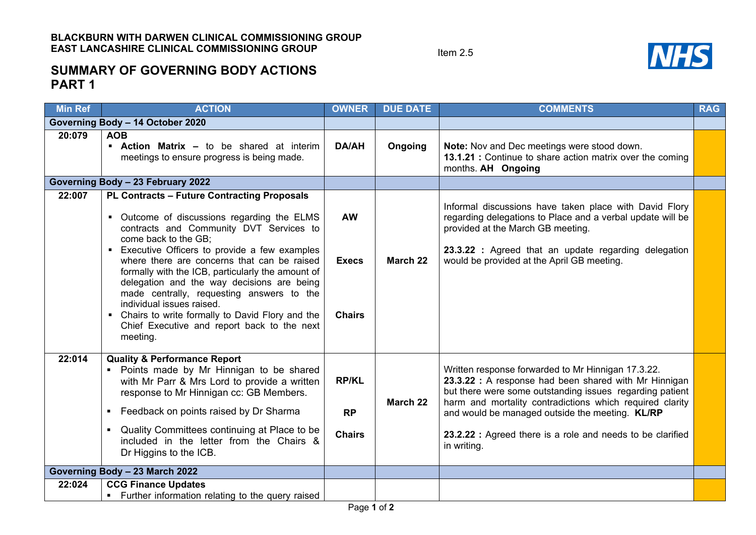Item 2.5



## **SUMMARY OF GOVERNING BODY ACTIONS PART 1**

| <b>Min Ref</b>                    | <b>ACTION</b>                                                                                                                                                                                                                                                                                                                                                                                                                                                                                                                                                      | <b>OWNER</b>                               | <b>DUE DATE</b> | <b>COMMENTS</b>                                                                                                                                                                                                                                                                                                                                                     | <b>RAG</b> |
|-----------------------------------|--------------------------------------------------------------------------------------------------------------------------------------------------------------------------------------------------------------------------------------------------------------------------------------------------------------------------------------------------------------------------------------------------------------------------------------------------------------------------------------------------------------------------------------------------------------------|--------------------------------------------|-----------------|---------------------------------------------------------------------------------------------------------------------------------------------------------------------------------------------------------------------------------------------------------------------------------------------------------------------------------------------------------------------|------------|
| Governing Body - 14 October 2020  |                                                                                                                                                                                                                                                                                                                                                                                                                                                                                                                                                                    |                                            |                 |                                                                                                                                                                                                                                                                                                                                                                     |            |
| 20:079                            | <b>AOB</b><br><b>Action Matrix - to be shared at interim</b><br>meetings to ensure progress is being made.                                                                                                                                                                                                                                                                                                                                                                                                                                                         | <b>DA/AH</b>                               | Ongoing         | Note: Nov and Dec meetings were stood down.<br>13.1.21 : Continue to share action matrix over the coming<br>months. AH Ongoing                                                                                                                                                                                                                                      |            |
| Governing Body - 23 February 2022 |                                                                                                                                                                                                                                                                                                                                                                                                                                                                                                                                                                    |                                            |                 |                                                                                                                                                                                                                                                                                                                                                                     |            |
| 22:007                            | <b>PL Contracts - Future Contracting Proposals</b><br>• Outcome of discussions regarding the ELMS<br>contracts and Community DVT Services to<br>come back to the GB;<br>• Executive Officers to provide a few examples<br>where there are concerns that can be raised<br>formally with the ICB, particularly the amount of<br>delegation and the way decisions are being<br>made centrally, requesting answers to the<br>individual issues raised.<br>• Chairs to write formally to David Flory and the<br>Chief Executive and report back to the next<br>meeting. | <b>AW</b><br><b>Execs</b><br><b>Chairs</b> | March 22        | Informal discussions have taken place with David Flory<br>regarding delegations to Place and a verbal update will be<br>provided at the March GB meeting.<br>23.3.22 : Agreed that an update regarding delegation<br>would be provided at the April GB meeting.                                                                                                     |            |
| 22:014                            | <b>Quality &amp; Performance Report</b><br>Points made by Mr Hinnigan to be shared<br>with Mr Parr & Mrs Lord to provide a written<br>response to Mr Hinnigan cc: GB Members.<br>Feedback on points raised by Dr Sharma<br>$\blacksquare$<br>Quality Committees continuing at Place to be<br>$\blacksquare$<br>included in the letter from the Chairs &<br>Dr Higgins to the ICB.                                                                                                                                                                                  | <b>RP/KL</b><br><b>RP</b><br><b>Chairs</b> | March 22        | Written response forwarded to Mr Hinnigan 17.3.22.<br>23.3.22 : A response had been shared with Mr Hinnigan<br>but there were some outstanding issues regarding patient<br>harm and mortality contradictions which required clarity<br>and would be managed outside the meeting. KL/RP<br>23.2.22 : Agreed there is a role and needs to be clarified<br>in writing. |            |
| Governing Body - 23 March 2022    |                                                                                                                                                                                                                                                                                                                                                                                                                                                                                                                                                                    |                                            |                 |                                                                                                                                                                                                                                                                                                                                                                     |            |
| 22:024                            | <b>CCG Finance Updates</b><br>• Further information relating to the query raised                                                                                                                                                                                                                                                                                                                                                                                                                                                                                   | $D = 4.50$                                 |                 |                                                                                                                                                                                                                                                                                                                                                                     |            |